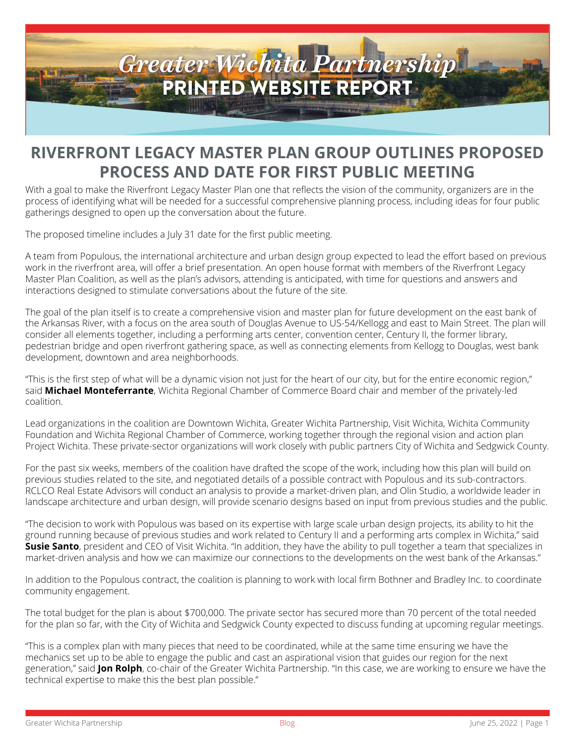

## **RIVERFRONT LEGACY MASTER PLAN GROUP OUTLINES PROPOSED PROCESS AND DATE FOR FIRST PUBLIC MEETING**

With a goal to make the Riverfront Legacy Master Plan one that reflects the vision of the community, organizers are in the process of identifying what will be needed for a successful comprehensive planning process, including ideas for four public gatherings designed to open up the conversation about the future.

The proposed timeline includes a July 31 date for the first public meeting.

A team from Populous, the international architecture and urban design group expected to lead the effort based on previous work in the riverfront area, will offer a brief presentation. An open house format with members of the Riverfront Legacy Master Plan Coalition, as well as the plan's advisors, attending is anticipated, with time for questions and answers and interactions designed to stimulate conversations about the future of the site.

The goal of the plan itself is to create a comprehensive vision and master plan for future development on the east bank of the Arkansas River, with a focus on the area south of Douglas Avenue to US-54/Kellogg and east to Main Street. The plan will consider all elements together, including a performing arts center, convention center, Century II, the former library, pedestrian bridge and open riverfront gathering space, as well as connecting elements from Kellogg to Douglas, west bank development, downtown and area neighborhoods.

"This is the first step of what will be a dynamic vision not just for the heart of our city, but for the entire economic region," said **Michael Monteferrante**, Wichita Regional Chamber of Commerce Board chair and member of the privately-led coalition.

Lead organizations in the coalition are Downtown Wichita, Greater Wichita Partnership, Visit Wichita, Wichita Community Foundation and Wichita Regional Chamber of Commerce, working together through the regional vision and action plan Project Wichita. These private-sector organizations will work closely with public partners City of Wichita and Sedgwick County.

For the past six weeks, members of the coalition have drafted the scope of the work, including how this plan will build on previous studies related to the site, and negotiated details of a possible contract with Populous and its sub-contractors. RCLCO Real Estate Advisors will conduct an analysis to provide a market-driven plan, and Olin Studio, a worldwide leader in landscape architecture and urban design, will provide scenario designs based on input from previous studies and the public.

"The decision to work with Populous was based on its expertise with large scale urban design projects, its ability to hit the ground running because of previous studies and work related to Century II and a performing arts complex in Wichita," said **Susie Santo**, president and CEO of Visit Wichita. "In addition, they have the ability to pull together a team that specializes in market-driven analysis and how we can maximize our connections to the developments on the west bank of the Arkansas."

In addition to the Populous contract, the coalition is planning to work with local firm Bothner and Bradley Inc. to coordinate community engagement.

The total budget for the plan is about \$700,000. The private sector has secured more than 70 percent of the total needed for the plan so far, with the City of Wichita and Sedgwick County expected to discuss funding at upcoming regular meetings.

"This is a complex plan with many pieces that need to be coordinated, while at the same time ensuring we have the mechanics set up to be able to engage the public and cast an aspirational vision that guides our region for the next generation," said **Jon Rolph**, co-chair of the Greater Wichita Partnership. "In this case, we are working to ensure we have the technical expertise to make this the best plan possible."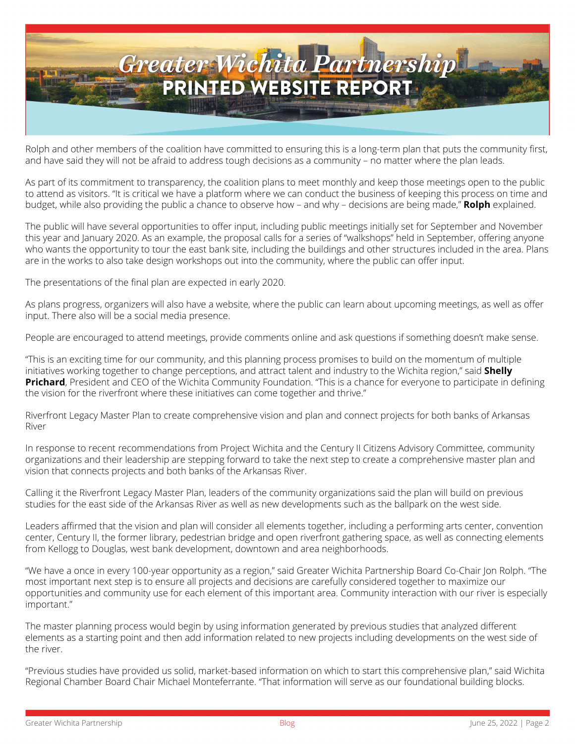

Rolph and other members of the coalition have committed to ensuring this is a long-term plan that puts the community first, and have said they will not be afraid to address tough decisions as a community – no matter where the plan leads.

As part of its commitment to transparency, the coalition plans to meet monthly and keep those meetings open to the public to attend as visitors. "It is critical we have a platform where we can conduct the business of keeping this process on time and budget, while also providing the public a chance to observe how – and why – decisions are being made," **Rolph** explained.

The public will have several opportunities to offer input, including public meetings initially set for September and November this year and January 2020. As an example, the proposal calls for a series of "walkshops" held in September, offering anyone who wants the opportunity to tour the east bank site, including the buildings and other structures included in the area. Plans are in the works to also take design workshops out into the community, where the public can offer input.

The presentations of the final plan are expected in early 2020.

As plans progress, organizers will also have a website, where the public can learn about upcoming meetings, as well as offer input. There also will be a social media presence.

People are encouraged to attend meetings, provide comments online and ask questions if something doesn't make sense.

"This is an exciting time for our community, and this planning process promises to build on the momentum of multiple initiatives working together to change perceptions, and attract talent and industry to the Wichita region," said **Shelly Prichard**, President and CEO of the Wichita Community Foundation. "This is a chance for everyone to participate in defining the vision for the riverfront where these initiatives can come together and thrive."

Riverfront Legacy Master Plan to create comprehensive vision and plan and connect projects for both banks of Arkansas River

In response to recent recommendations from Project Wichita and the Century II Citizens Advisory Committee, community organizations and their leadership are stepping forward to take the next step to create a comprehensive master plan and vision that connects projects and both banks of the Arkansas River.

Calling it the Riverfront Legacy Master Plan, leaders of the community organizations said the plan will build on previous studies for the east side of the Arkansas River as well as new developments such as the ballpark on the west side.

Leaders affirmed that the vision and plan will consider all elements together, including a performing arts center, convention center, Century II, the former library, pedestrian bridge and open riverfront gathering space, as well as connecting elements from Kellogg to Douglas, west bank development, downtown and area neighborhoods.

"We have a once in every 100-year opportunity as a region," said Greater Wichita Partnership Board Co-Chair Jon Rolph. "The most important next step is to ensure all projects and decisions are carefully considered together to maximize our opportunities and community use for each element of this important area. Community interaction with our river is especially important."

The master planning process would begin by using information generated by previous studies that analyzed different elements as a starting point and then add information related to new projects including developments on the west side of the river.

"Previous studies have provided us solid, market-based information on which to start this comprehensive plan," said Wichita Regional Chamber Board Chair Michael Monteferrante. "That information will serve as our foundational building blocks.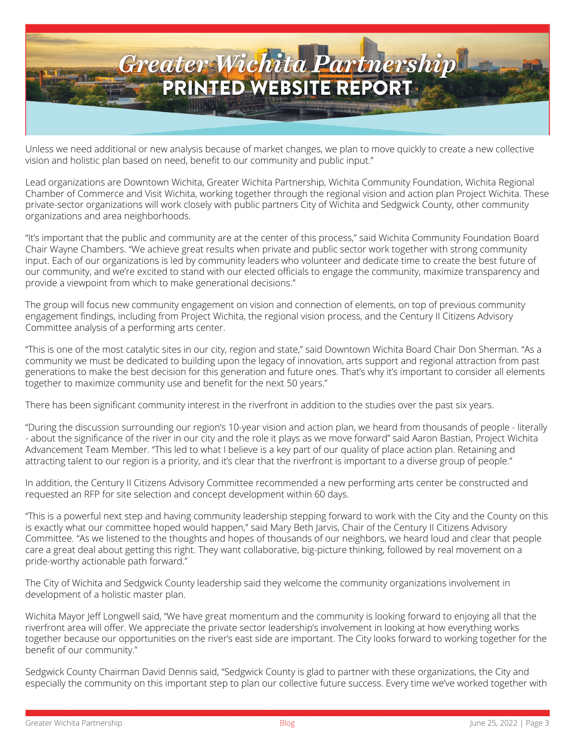

Unless we need additional or new analysis because of market changes, we plan to move quickly to create a new collective vision and holistic plan based on need, benefit to our community and public input."

Lead organizations are Downtown Wichita, Greater Wichita Partnership, Wichita Community Foundation, Wichita Regional Chamber of Commerce and Visit Wichita, working together through the regional vision and action plan Project Wichita. These private-sector organizations will work closely with public partners City of Wichita and Sedgwick County, other community organizations and area neighborhoods.

"It's important that the public and community are at the center of this process," said Wichita Community Foundation Board Chair Wayne Chambers. "We achieve great results when private and public sector work together with strong community input. Each of our organizations is led by community leaders who volunteer and dedicate time to create the best future of our community, and we're excited to stand with our elected officials to engage the community, maximize transparency and provide a viewpoint from which to make generational decisions."

The group will focus new community engagement on vision and connection of elements, on top of previous community engagement findings, including from Project Wichita, the regional vision process, and the Century II Citizens Advisory Committee analysis of a performing arts center.

"This is one of the most catalytic sites in our city, region and state," said Downtown Wichita Board Chair Don Sherman. "As a community we must be dedicated to building upon the legacy of innovation, arts support and regional attraction from past generations to make the best decision for this generation and future ones. That's why it's important to consider all elements together to maximize community use and benefit for the next 50 years."

There has been significant community interest in the riverfront in addition to the studies over the past six years.

"During the discussion surrounding our region's 10-year vision and action plan, we heard from thousands of people - literally - about the significance of the river in our city and the role it plays as we move forward" said Aaron Bastian, Project Wichita Advancement Team Member. "This led to what I believe is a key part of our quality of place action plan. Retaining and attracting talent to our region is a priority, and it's clear that the riverfront is important to a diverse group of people."

In addition, the Century II Citizens Advisory Committee recommended a new performing arts center be constructed and requested an RFP for site selection and concept development within 60 days.

"This is a powerful next step and having community leadership stepping forward to work with the City and the County on this is exactly what our committee hoped would happen," said Mary Beth Jarvis, Chair of the Century II Citizens Advisory Committee. "As we listened to the thoughts and hopes of thousands of our neighbors, we heard loud and clear that people care a great deal about getting this right. They want collaborative, big-picture thinking, followed by real movement on a pride-worthy actionable path forward."

The City of Wichita and Sedgwick County leadership said they welcome the community organizations involvement in development of a holistic master plan.

Wichita Mayor Jeff Longwell said, "We have great momentum and the community is looking forward to enjoying all that the riverfront area will offer. We appreciate the private sector leadership's involvement in looking at how everything works together because our opportunities on the river's east side are important. The City looks forward to working together for the benefit of our community."

Sedgwick County Chairman David Dennis said, "Sedgwick County is glad to partner with these organizations, the City and especially the community on this important step to plan our collective future success. Every time we've worked together with